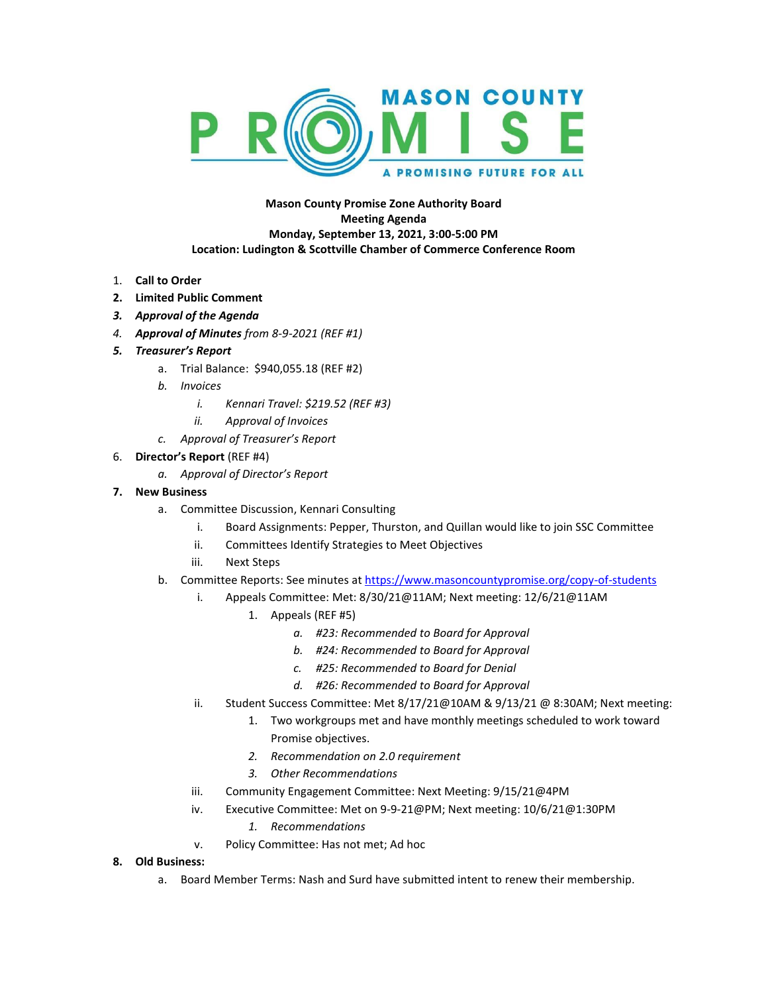

## **Mason County Promise Zone Authority Board Meeting Agenda Monday, September 13, 2021, 3:00-5:00 PM Location: Ludington & Scottville Chamber of Commerce Conference Room**

- 1. **Call to Order**
- **2. Limited Public Comment**
- *3. Approval of the Agenda*
- *4. Approval of Minutes from 8-9-2021 (REF #1)*
- *5. Treasurer's Report*
	- a. Trial Balance: \$940,055.18 (REF #2)
	- *b. Invoices*
		- *i. Kennari Travel: \$219.52 (REF #3)*
		- *ii. Approval of Invoices*
	- *c. Approval of Treasurer's Report*
- 6. **Director's Report** (REF #4)
	- *a. Approval of Director's Report*
- **7. New Business**
	- a. Committee Discussion, Kennari Consulting
		- i. Board Assignments: Pepper, Thurston, and Quillan would like to join SSC Committee
		- ii. Committees Identify Strategies to Meet Objectives
		- iii. Next Steps
	- b. Committee Reports: See minutes at <https://www.masoncountypromise.org/copy-of-students>
		- i. Appeals Committee: Met: 8/30/21@11AM; Next meeting: 12/6/21@11AM
			- 1. Appeals (REF #5)
				- *a. #23: Recommended to Board for Approval*
				- *b. #24: Recommended to Board for Approval*
				- *c. #25: Recommended to Board for Denial*
				- *d. #26: Recommended to Board for Approval*
		- ii. Student Success Committee: Met 8/17/21@10AM & 9/13/21 @ 8:30AM; Next meeting:
			- 1. Two workgroups met and have monthly meetings scheduled to work toward Promise objectives.
			- *2. Recommendation on 2.0 requirement*
			- *3. Other Recommendations*
		- iii. Community Engagement Committee: Next Meeting: 9/15/21@4PM
		- iv. Executive Committee: Met on 9-9-21@PM; Next meeting: 10/6/21@1:30PM
			- *1. Recommendations*
		- v. Policy Committee: Has not met; Ad hoc

## **8. Old Business:**

a. Board Member Terms: Nash and Surd have submitted intent to renew their membership.